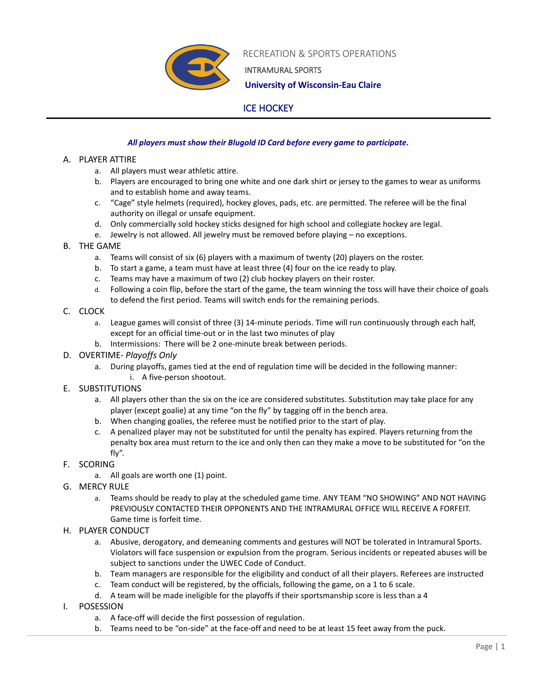

RECREATION & SPORTS OPERATIONS

INTRAMURAL SPORTS

 **University of Wisconsin-Eau Claire**

# ICE HOCKEY

## *All players must show their Blugold ID Card before every game to participate.*

### A. PLAYER ATTIRE

- a. All players must wear athletic attire.
- b. Players are encouraged to bring one white and one dark shirt or jersey to the games to wear as uniforms and to establish home and away teams.
- c. "Cage" style helmets (required), hockey gloves, pads, etc. are permitted. The referee will be the final authority on illegal or unsafe equipment.
- d. Only commercially sold hockey sticks designed for high school and collegiate hockey are legal.
- e. Jewelry is not allowed. All jewelry must be removed before playing no exceptions.

### B. THE GAME

- a. Teams will consist of six (6) players with a maximum of twenty (20) players on the roster.
- b. To start a game, a team must have at least three (4) four on the ice ready to play.
- c. Teams may have a maximum of two (2) club hockey players on their roster.
- d. Following a coin flip, before the start of the game, the team winning the toss will have their choice of goals to defend the first period. Teams will switch ends for the remaining periods.

### C. CLOCK

- a. League games will consist of three (3) 14-minute periods. Time will run continuously through each half, except for an official time-out or in the last two minutes of play
- b. Intermissions: There will be 2 one-minute break between periods.
- D. OVERTIME- *Playoffs Only*
	- a. During playoffs, games tied at the end of regulation time will be decided in the following manner: i. A five-person shootout.
- E. SUBSTITUTIONS
	- a. All players other than the six on the ice are considered substitutes. Substitution may take place for any player (except goalie) at any time "on the fly" by tagging off in the bench area.
	- b. When changing goalies, the referee must be notified prior to the start of play.
	- c. A penalized player may not be substituted for until the penalty has expired. Players returning from the penalty box area must return to the ice and only then can they make a move to be substituted for "on the fly".
- F. SCORING
	- a. All goals are worth one (1) point.
- G. MERCY RULE
	- a. Teams should be ready to play at the scheduled game time. ANY TEAM "NO SHOWING" AND NOT HAVING PREVIOUSLY CONTACTED THEIR OPPONENTS AND THE INTRAMURAL OFFICE WILL RECEIVE A FORFEIT. Game time is forfeit time.
- H. PLAYER CONDUCT
	- a. Abusive, derogatory, and demeaning comments and gestures will NOT be tolerated in Intramural Sports. Violators will face suspension or expulsion from the program. Serious incidents or repeated abuses will be subject to sanctions under the UWEC Code of Conduct.
	- b. Team managers are responsible for the eligibility and conduct of all their players. Referees are instructed
	- c. Team conduct will be registered, by the officials, following the game, on a 1 to 6 scale.
	- d. A team will be made ineligible for the playoffs if their sportsmanship score is less than a 4
- I. POSESSION
	- a. A face-off will decide the first possession of regulation.
	- b. Teams need to be "on-side" at the face-off and need to be at least 15 feet away from the puck.